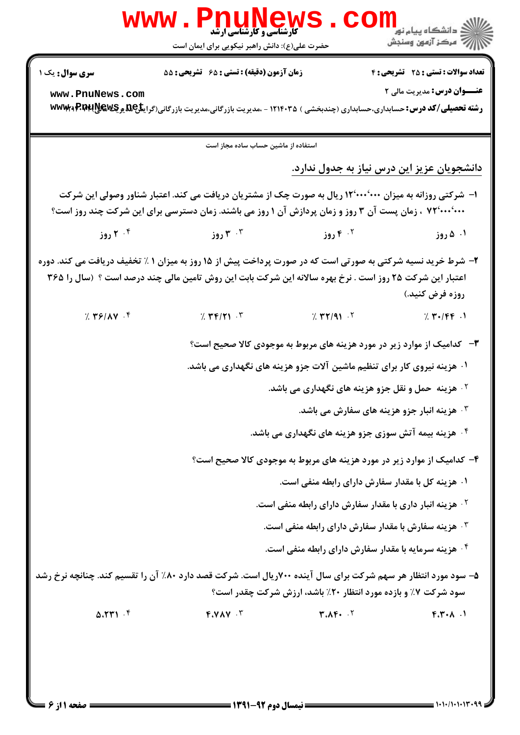|                                                                                                              | <b>www.PnuNews</b><br><b>5 کارشناسی و کارشناسی ارشد</b><br>حضرت علی(ع): دانش راهبر نیکویی برای ایمان است                                                                                                              |                                                                         | لاد دانشگاه پيام نور<br>الاسم مرکز آزمون وسنجش          |
|--------------------------------------------------------------------------------------------------------------|-----------------------------------------------------------------------------------------------------------------------------------------------------------------------------------------------------------------------|-------------------------------------------------------------------------|---------------------------------------------------------|
| <b>سری سوال :</b> یک ۱                                                                                       | زمان آزمون (دقیقه) : تستی : ۶۵ گشریحی : ۵۵                                                                                                                                                                            |                                                                         | <b>تعداد سوالات : تستی : 25 - تشریحی : 4</b>            |
| www.PnuNews.com                                                                                              | <b>رشته تحصیلی/کد درس:</b> حسابداری،حسابداری (چندبخشی ) ۱۲۱۴۰۳۵ - ،مدیریت بازرگانی،مدیریت بازرگانی(گرایکه <b>ی RPARARRAR بهWW</b>                                                                                     |                                                                         | <b>عنـــوان درس:</b> مدیریت مالی ۲                      |
|                                                                                                              | استفاده از ماشین حساب ساده مجاز است                                                                                                                                                                                   |                                                                         |                                                         |
|                                                                                                              |                                                                                                                                                                                                                       |                                                                         | <u>دانشجویان عزیز این درس نیاز به جدول ندارد.</u>       |
|                                                                                                              | ا– شرکتی روزانه به میزان ۱۲٬۰۰۰٬۰۰۰ ریال به صورت چک از مشتریان دریافت می کند. اعتبار شناور وصولی این شرکت<br>٬ ۷۲٬۰۰۰٬۰۰۰ ، زمان پست آن ۳ روز و زمان پردازش آن ۱ روز می باشند. زمان دسترسی برای این شرکت چند روز است؟ |                                                                         |                                                         |
| ۰۴ روز                                                                                                       | روز ۳ $\cdot$ ۳                                                                                                                                                                                                       | ۰۲ ووز                                                                  | ۰۱ ۵ روز                                                |
| ۲- شرط خرید نسیه شرکتی به صورتی است که در صورت پرداخت پیش از ۱۵ روز به میزان ۱ ٪ تخفیف دریافت می کند. دوره   | <b>اعتبار این شرکت ۲۵ روز است . نرخ بهره سالانه این شرکت بابت این روش تامین مالی چند درصد است ؟ (سال را ۳۶۵</b>                                                                                                       |                                                                         | روزه فرض كنيد.)                                         |
| 7.79/10                                                                                                      | 7.771.7                                                                                                                                                                                                               | 7.77/91.7                                                               | $7.7 - 196.1$                                           |
|                                                                                                              |                                                                                                                                                                                                                       | ۳- کدامیک از موارد زیر در مورد هزینه های مربوط به موجودی کالا صحیح است؟ |                                                         |
|                                                                                                              |                                                                                                                                                                                                                       | ۰۱ هزینه نیروی کار برای تنظیم ماشین آلات جزو هزینه های نگهداری می باشد. |                                                         |
|                                                                                                              |                                                                                                                                                                                                                       | <sup>۲</sup> ۰ هزینه حمل و نقل جزو هزینه های نگهداری می باشد.           |                                                         |
|                                                                                                              |                                                                                                                                                                                                                       |                                                                         | ۰ <sup>۳</sup> هزینه انبار جزو هزینه های سفارش می باشد. |
|                                                                                                              |                                                                                                                                                                                                                       | ۰۴ هزینه بیمه آتش سوزی جزو هزینه های نگهداری می باشد.                   |                                                         |
|                                                                                                              |                                                                                                                                                                                                                       | ۴- کدامیک از موارد زیر در مورد هزینه های مربوط به موجودی کالا صحیح است؟ |                                                         |
|                                                                                                              |                                                                                                                                                                                                                       | ۰۱ هزینه کل با مقدار سفارش دارای رابطه منفی است.                        |                                                         |
|                                                                                                              |                                                                                                                                                                                                                       | <sup>۲</sup> ۰ هزینه انبار داری با مقدار سفارش دارای رابطه منفی است.    |                                                         |
|                                                                                                              |                                                                                                                                                                                                                       | ۰ <sup>۳</sup> هزینه سفارش با مقدار سفارش دارای رابطه منفی است.         |                                                         |
|                                                                                                              |                                                                                                                                                                                                                       | ۰۴ هزینه سرمایه با مقدار سفارش دارای رابطه منفی است.                    |                                                         |
| ۵– سود مورد انتظار هر سهم شرکت برای سال آینده ۷۰۰ریال است. شرکت قصد دارد ۸۰٪ آن را تقسیم کند. چنانچه نرخ رشد |                                                                                                                                                                                                                       | سود شرکت ۷٪ و بازده مورد انتظار ۲۰٪ باشد، ارزش شرکت چقدر است؟           |                                                         |
| $\Delta$ . $\Upsilon$ $\Upsilon$ $\Upsilon$                                                                  | $F.VAY$ $V$                                                                                                                                                                                                           | T.AF.                                                                   | F.T.A.                                                  |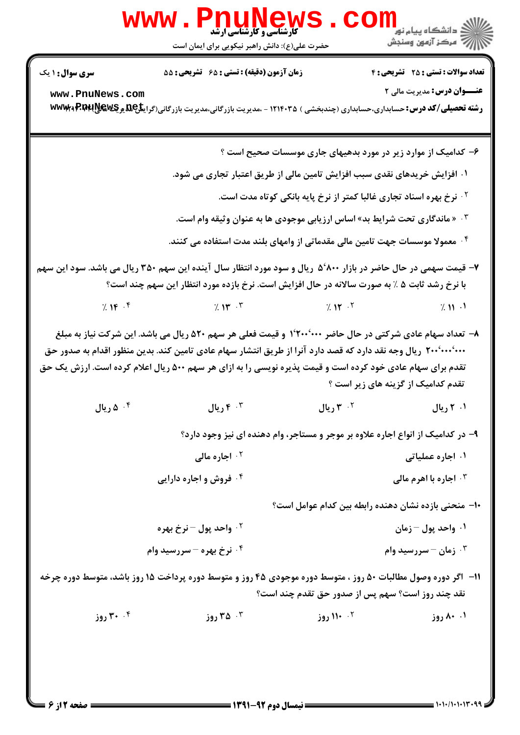|                                           | حضرت علی(ع): دانش راهبر نیکویی برای ایمان است                                                                                                                                                                                                                                                                                          |                                                                                                                                                               |                                                                                                                                                                 |
|-------------------------------------------|----------------------------------------------------------------------------------------------------------------------------------------------------------------------------------------------------------------------------------------------------------------------------------------------------------------------------------------|---------------------------------------------------------------------------------------------------------------------------------------------------------------|-----------------------------------------------------------------------------------------------------------------------------------------------------------------|
| <b>سری سوال : ۱ یک</b><br>www.PnuNews.com | زمان آزمون (دقیقه) : تستی : ۶۵ گشریحی : ۵۵<br><b>رشته تحصیلی/کد درس:</b> حسابداری،حسابداری (چندبخشی ) ۱۲۱۴۰۳۵ - ،مدیریت بازرگانی،مدیریت بازرگانی(گرای <del>تل</del> Cهیچکههای <del>R¤t</del>                                                                                                                                           |                                                                                                                                                               | تعداد سوالات : تستى : 25 ۔ تشریحي : 4<br>عنـــوان درس: مديريت مالي ٢                                                                                            |
|                                           | ۰۱ افزایش خریدهای نقدی سبب افزایش تامین مالی از طریق اعتبار تجاری می شود.<br>۰۴ معمولا موسسات جهت تامین مالی مقدماتی از وامهای بلند مدت استفاده می کنند.                                                                                                                                                                               | <sup>۲</sup> ۰ نرخ بهره اسناد تجاری غالبا کمتر از نرخ پایه بانکی کوتاه مدت است.<br>۰۳ « ماندگاری تحت شرایط بد» اساس ارزیابی موجودی ها به عنوان وثیقه وام است. | ۶- کدامیک از موارد زیر در مورد بدهیهای جاری موسسات صحیح است ؟                                                                                                   |
|                                           | ۷– قیمت سهمی در حال حاضر در بازار ۵٬۸۰۰ ریال و سود مورد انتظار سال آینده این سهم ۳۵۰ ریال می باشد. سود این سهم<br>با نرخ رشد ثابت ۵ ٪ به صورت سالانه در حال افزایش است. نرخ بازده مورد انتظار این سهم چند است؟                                                                                                                         |                                                                                                                                                               |                                                                                                                                                                 |
| 7.19.5                                    | $7.1$ $\sqrt{7}$ $\sqrt{7}$ $\sqrt{7}$ $\sqrt{7}$ $\sqrt{7}$ $\sqrt{7}$ $\sqrt{7}$                                                                                                                                                                                                                                                     |                                                                                                                                                               | 7.11.1                                                                                                                                                          |
|                                           | ۸– تعداد سهام عادی شرکتی در حال حاضر ۲۰۰٬۰۰۰ و قیمت فعلی هر سهم ۵۲۰ ریال می باشد. این شرکت نیاز به مبلغ<br>۲۰۰٬۰۰۰٬۰۰۰ ریال وجه نقد دارد که قصد دارد آنرا از طریق انتشار سهام عادی تامین کند. بدین منظور اقدام به صدور حق<br>تقدم برای سهام عادی خود کرده است و قیمت پذیره نویسی را به ازای هر سهم ۵۰۰ ریال اعلام کرده است. ارزش یک حق |                                                                                                                                                               | تقدم کدامیک از گزینه های زیر است ؟                                                                                                                              |
| ۰۴ د یال                                  | ۰۳ ریال                                                                                                                                                                                                                                                                                                                                | ۰ <sup>۲ ر</sup> یال                                                                                                                                          | ۰۱ ۲ ریال                                                                                                                                                       |
|                                           | <b>10 اجاره مالی</b><br>۰۴ فروش و اجاره دارایی                                                                                                                                                                                                                                                                                         |                                                                                                                                                               | ۹– در کدامیک از انواع اجاره علاوه بر موجر و مستاجر، وام دهنده ای نیز وجود دارد؟<br>۰۱ اجاره عملیاتی<br>اجاره با اهرم مالی $\cdot ^{\mathrm{\tiny{\textsf{F}}}}$ |
|                                           |                                                                                                                                                                                                                                                                                                                                        |                                                                                                                                                               | ∙ا− منحنی بازده نشان دهنده رابطه بین کدام عوامل است؟                                                                                                            |
|                                           | ۰ <sup>۲</sup> واحد پول – نرخ بهره                                                                                                                                                                                                                                                                                                     |                                                                                                                                                               | ۰۱ واحد پول – زمان                                                                                                                                              |
|                                           | ۰۴ نرخ بهره – سررسید وام                                                                                                                                                                                                                                                                                                               |                                                                                                                                                               | زمان – سررسید وام $\cdot^{\mathsf{v}}$                                                                                                                          |
|                                           | ۱۱- اگر دوره وصول مطالبات ۵۰ روز ، متوسط دوره موجودی ۴۵ روز و متوسط دوره پرداخت ۱۵ روز باشد، متوسط دوره چرخه                                                                                                                                                                                                                           | نقد چند روز است؟ سهم پس از صدور حق تقدم چند است؟                                                                                                              |                                                                                                                                                                 |
| ۰۴ ووز                                    | ۰۳ وز $\mathsf{r}$                                                                                                                                                                                                                                                                                                                     | ۰۲ ۱۱ <b>۰ روز</b>                                                                                                                                            | ۰۱ ۸۰ روز                                                                                                                                                       |
|                                           |                                                                                                                                                                                                                                                                                                                                        |                                                                                                                                                               |                                                                                                                                                                 |

كارشناسي و كارشناسي ارشد **[www.PnuNews.com](http://pnunews.com)**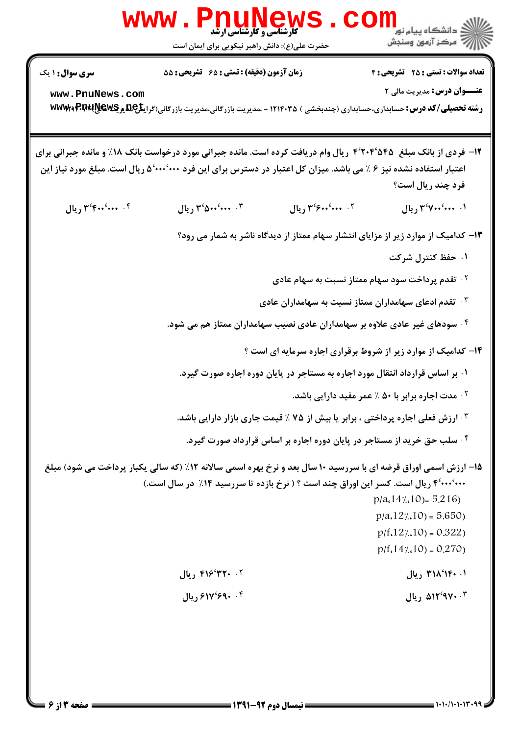|                                   | www.PnuNews<br>حضرت علی(ع): دانش راهبر نیکویی برای ایمان است                                                                                                                                                                         |                 | ر دانشگاه پيام نور <mark></mark><br>اگر مرکز آزمون وسنجش                                                |
|-----------------------------------|--------------------------------------------------------------------------------------------------------------------------------------------------------------------------------------------------------------------------------------|-----------------|---------------------------------------------------------------------------------------------------------|
| سری سوال: ۱ یک<br>www.PnuNews.com | زمان آزمون (دقیقه) : تستی : ۶۵ گشریحی : ۵۵<br><b>رشته تحصیلی/کد درس:</b> حسابداری،حسابداری (چندبخشی ) ۱۲۱۴۰۳۵ - ،مدیریت بازرگانی،مدیریت بازرگانی(گ <b>لیکلهایی RPRRARRE به www</b>                                                   |                 | <b>تعداد سوالات : تستی : 25 - تشریحی : 4</b><br><b>عنـــوان درس:</b> مدیریت مالی ۲                      |
|                                   | ۱۲- فردی از بانک مبلغ ۴٬۲۰۴٬۵۴۵ ریال وام دریافت کرده است. مانده جبرانی مورد درخواست بانک ۱۸٪ و مانده جبرانی برای<br>اعتبار استفاده نشده نیز ۶ ٪ می باشد. میزان کل اعتبار در دسترس برای این فرد ۴۰۰۰٬۰۰۰ ریال است. مبلغ مورد نیاز این |                 | فرد چند ریال است؟                                                                                       |
| ۰۴ ۴۰۰٬۰۰۰ ریال                   | ۰۳ منه ۳٬۵۰۰٬۰۰۰ ریال                                                                                                                                                                                                                | ۰۲ ۴۰۰٬۰۰۰ ریال | ۰۱. ۴٬۷۰۰٬۰۰۰ ریال                                                                                      |
|                                   |                                                                                                                                                                                                                                      |                 | ۱۳– کدامیک از موارد زیر از مزایای انتشار سهام ممتاز از دیدگاه ناشر به شمار می رود؟<br>۰۱ حفظ کنترل شرکت |
|                                   |                                                                                                                                                                                                                                      |                 | <sup>۲</sup> ۰ تقدم پرداخت سود سهام ممتاز نسبت به سهام عادی                                             |
|                                   |                                                                                                                                                                                                                                      |                 | ۰۳ تقدم ادعای سهامداران ممتاز نسبت به سهامداران عادی                                                    |
|                                   | ۰ <sup>۴</sup> سودهای غیر عادی علاوه بر سهامداران عادی نصیب سهامداران ممتاز هم می شود.                                                                                                                                               |                 |                                                                                                         |
|                                   |                                                                                                                                                                                                                                      |                 | ۱۴- کدامیک از موارد زیر از شروط برقراری اجاره سرمایه ای است ؟                                           |
|                                   |                                                                                                                                                                                                                                      |                 | ۰۱ بر اساس قرارداد انتقال مورد اجاره به مستاجر در پایان دوره اجاره صورت گیرد.                           |
|                                   |                                                                                                                                                                                                                                      |                 | ۰۲ مدت اجاره برابر با ۵۰ ٪ عمر مفید دارایی باشد.                                                        |
|                                   |                                                                                                                                                                                                                                      |                 | <b>۱۰۳ ارزش فعلی اجاره پرداختی ، برابر یا بیش از ۷۵</b> ٪ قیمت جاری بازار دارایی باشد.                  |
|                                   |                                                                                                                                                                                                                                      |                 | ۰۴ سلب حق خرید از مستاجر در پایان دوره اجاره بر اساس قرارداد صورت گیرد.                                 |
|                                   | ۱۵- ارزش اسمی اوراق قرضه ای با سررسید ۱۰ سال بعد و نرخ بهره اسمی سالانه ۱۲٪ (که سالی یکبار پرداخت می شود) مبلغ<br>۴٬۰۰۰٬۰۰۰ ریال است. کسر این اوراق چند است ؟ ( نرخ بازده تا سررسید ۱۴٪ در سال است.)                                 |                 | $p/a.14/10 = 5.216$<br>$p/a.12/10 = 5.650$<br>$p/f_{1}12/10 = 0.322$<br>$p/f(14/10) = 0.270$            |
|                                   | ۴۱۶٬۳۲۰ ریال                                                                                                                                                                                                                         |                 | ۰۱ ۳۱۸٬۱۴۰ ریال                                                                                         |
|                                   | ۶۱۷٬۶۹۰ ریال                                                                                                                                                                                                                         |                 | ۵۱۲'۹۷۰۰۳ ریال                                                                                          |
|                                   |                                                                                                                                                                                                                                      |                 |                                                                                                         |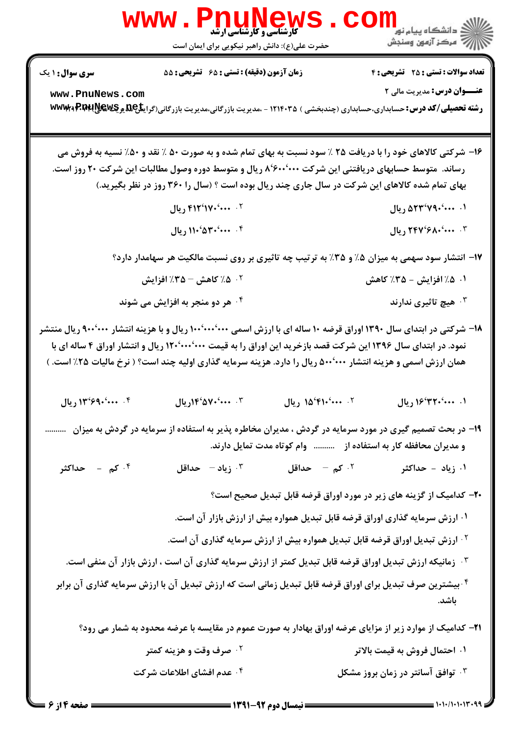

WW#/#//#/#/#0/ نيمسال دوم 1391-92 صفحه 4 از 6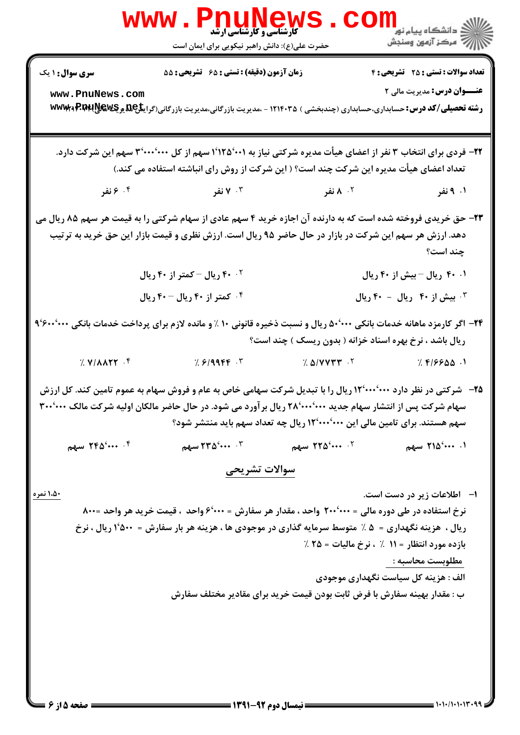|                                                    | www.PnuNews<br>حضرت علی(ع): دانش راهبر نیکویی برای ایمان است                                                                                                                                                                                                                                                                                                                                                                                                                                                                                                                                                                                                                                           |                                                                                                                                                                                               | الان دانشگاه پيام نور<br>الان آزمون وسنجش                                                                                             |
|----------------------------------------------------|--------------------------------------------------------------------------------------------------------------------------------------------------------------------------------------------------------------------------------------------------------------------------------------------------------------------------------------------------------------------------------------------------------------------------------------------------------------------------------------------------------------------------------------------------------------------------------------------------------------------------------------------------------------------------------------------------------|-----------------------------------------------------------------------------------------------------------------------------------------------------------------------------------------------|---------------------------------------------------------------------------------------------------------------------------------------|
| سری سوال: ۱ یک<br>www.PnuNews.com                  | زمان آزمون (دقیقه) : تستی : ۶۵ گتشریحی : ۵۵<br><b>رشته تحصیلی/کد درس:</b> حسابداری،حسابداری (چندبخشی ) ۱۲۱۴۰۳۵ - ،مدیریت بازرگانی،مدیریت بازرگانی(گرای <del>تل</del> C <b>u و @WVW</b> a RRI                                                                                                                                                                                                                                                                                                                                                                                                                                                                                                           |                                                                                                                                                                                               | <b>تعداد سوالات : تستی : 25 - تشریحی : 4</b><br><b>عنـــوان درس:</b> مدیریت مالی ۲                                                    |
|                                                    | ۲۲- فردی برای انتخاب ۳ نفر از اعضای هیأت مدیره شرکتی نیاز به ۱٬۱۲۵٬۰۰۱ سهم از کل ۳٬۰۰۰٬۰۰۰ سهم این شرکت دارد.<br>تعداد اعضای هیأت مدیره این شرکت چند است؟ ( این شرکت از روش رای انباشته استفاده می کند.)                                                                                                                                                                                                                                                                                                                                                                                                                                                                                               |                                                                                                                                                                                               |                                                                                                                                       |
| ۰۴ تفر                                             | ۰۳ ۷ نفر                                                                                                                                                                                                                                                                                                                                                                                                                                                                                                                                                                                                                                                                                               | ۰۲ نفر                                                                                                                                                                                        | ۰۱. ۹ نفر                                                                                                                             |
|                                                    | ۲۳– حق خریدی فروخته شده است که به دارنده آن اجازه خرید ۴ سهم عادی از سهام شرکتی را به قیمت هر سهم ۸۵ ریال می<br>دهد. ارزش هر سهم این شرکت در بازار در حال حاضر ۹۵ ریال است. ارزش نظری و قیمت بازار این حق خرید به ترتیب<br>۴۰ ۰۲ ریال -کمتر از ۴۰ ریال                                                                                                                                                                                                                                                                                                                                                                                                                                                 |                                                                                                                                                                                               | چند است؟<br>۰۱ ۰۹ ریال – بیش از ۴۰ ریال                                                                                               |
|                                                    | ۰۴ کمتر از ۴۰ ریال - ۴۰ ریال                                                                                                                                                                                                                                                                                                                                                                                                                                                                                                                                                                                                                                                                           |                                                                                                                                                                                               | ۰۳ بیش از ۴۰ ریال - ۴۰ ریال                                                                                                           |
| $\gamma$ $\gamma/\lambda\lambda\gamma\gamma$ .     | <b>۲۴</b> - اگر کارمزد ماهانه خدمات بانکی ۵۰٬۰۰۰ ریال و نسبت ذخیره قانونی ۱۰ ٪ و مانده لازم برای پرداخت خدمات بانکی ۹٬۶۰۰٬۰۰۰<br>$\frac{1}{2}$ $\frac{1}{2}$ $\frac{1}{2}$ $\frac{1}{2}$ $\frac{1}{2}$ $\frac{1}{2}$ $\frac{1}{2}$ $\frac{1}{2}$ $\frac{1}{2}$ $\frac{1}{2}$ $\frac{1}{2}$ $\frac{1}{2}$ $\frac{1}{2}$ $\frac{1}{2}$ $\frac{1}{2}$ $\frac{1}{2}$ $\frac{1}{2}$ $\frac{1}{2}$ $\frac{1}{2}$ $\frac{1}{2}$ $\frac{1}{2}$ $\frac{1}{2}$<br><b>۲۵</b> –   شرکتی در نظر دارد <b>۱۲٬۰۰۰٬۰۰۰ ریال را با تبدیل شرکت سهامی</b> خاص به عام و فروش سهام به عموم تامین کند. کل ارزش<br>سهام شرکت پس از انتشار سهام جدید ۲۸٬۰۰۰٬۰۰۰ ریال بر آورد می شود. در حال حاضر مالکان اولیه شرکت مالک ۳۰۰٬۰۰۰ | ریال باشد ، نرخ بهره اسناد خزانه ( بدون ریسک ) چند است؟<br>$\%$ $\Delta$ / $\gamma$ $\gamma$ $\gamma$ $\gamma$<br>سهم هستند. برای تامین مالی این ۱۲٬۰۰۰٬۰۰۰ ریال چه تعداد سهم باید منتشر شود؟ | 7.99900.1                                                                                                                             |
| $R_{\text{max}}$ $\mathsf{TP\Delta}^{\mathcal{C}}$ | $R_{\text{max}}$ ۲۳۵'۰۰۰. ۲                                                                                                                                                                                                                                                                                                                                                                                                                                                                                                                                                                                                                                                                            | $B_{\text{max}}$ $\mathsf{Y} \mathsf{Y} \mathsf{A}^{\mathsf{C}} \cdots$                                                                                                                       | ۰۱ ۲۱۵٬۰۰۰ سهم                                                                                                                        |
|                                                    |                                                                                                                                                                                                                                                                                                                                                                                                                                                                                                                                                                                                                                                                                                        |                                                                                                                                                                                               |                                                                                                                                       |
| 1.50 نمره                                          | سوالات تشريحي<br>نرخ استفاده در طی دوره مالی = ۲۰۰٬۰۰۰ واحد ، مقدار هر سفارش = ۶٬۰۰۰ واحد  ، قیمت خرید هر واحد =۸۰۰<br>ريال ، هزينه نگهداري = ۵ ٪ متوسط سرمايه گذاري در موجودي ها ، هزينه هر بار سفارش = ۵۰۰°۱ ريال ، نرخ                                                                                                                                                                                                                                                                                                                                                                                                                                                                              | ب : مقدار بهینه سفارش با فرض ثابت بودن قیمت خرید برای مقادیر مختلف سفارش                                                                                                                      | ۱- اطلاعات زیر در دست است.<br>بازده مورد انتظار = ۱۱ ٪ ، نرخ مالیات = ۲۵ ٪<br>مطلوبست محاسبه :<br>الف : هزينه کل سياست نگهداري موجودي |